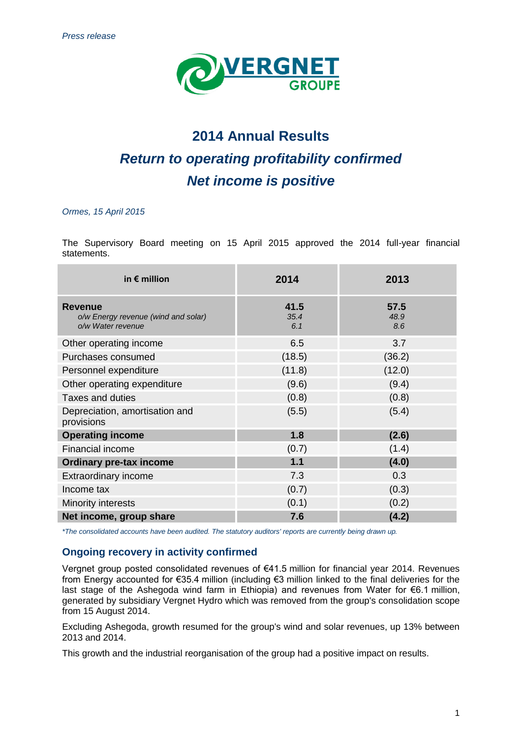

# **2014 Annual Results** *Return to operating profitability confirmed Net income is positive*

## *Ormes, 15 April 2015*

The Supervisory Board meeting on 15 April 2015 approved the 2014 full-year financial statements.

| in $\epsilon$ million                                                      | 2014                | 2013                |
|----------------------------------------------------------------------------|---------------------|---------------------|
| <b>Revenue</b><br>o/w Energy revenue (wind and solar)<br>o/w Water revenue | 41.5<br>35.4<br>6.1 | 57.5<br>48.9<br>8.6 |
| Other operating income                                                     | 6.5                 | 3.7                 |
| Purchases consumed                                                         | (18.5)              | (36.2)              |
| Personnel expenditure                                                      | (11.8)              | (12.0)              |
| Other operating expenditure                                                | (9.6)               | (9.4)               |
| <b>Taxes and duties</b>                                                    | (0.8)               | (0.8)               |
| Depreciation, amortisation and<br>provisions                               | (5.5)               | (5.4)               |
| <b>Operating income</b>                                                    | 1.8                 | (2.6)               |
| Financial income                                                           | (0.7)               | (1.4)               |
| <b>Ordinary pre-tax income</b>                                             | $1.1$               | (4.0)               |
| <b>Extraordinary income</b>                                                | 7.3                 | 0.3                 |
| Income tax                                                                 | (0.7)               | (0.3)               |
| Minority interests                                                         | (0.1)               | (0.2)               |
| Net income, group share                                                    | 7.6                 | (4.2)               |

*\*The consolidated accounts have been audited. The statutory auditors' reports are currently being drawn up.*

# **Ongoing recovery in activity confirmed**

Vergnet group posted consolidated revenues of €41.5 million for financial year 2014. Revenues from Energy accounted for €35.4 million (including €3 million linked to the final deliveries for the last stage of the Ashegoda wind farm in Ethiopia) and revenues from Water for €6.1 million, generated by subsidiary Vergnet Hydro which was removed from the group's consolidation scope from 15 August 2014.

Excluding Ashegoda, growth resumed for the group's wind and solar revenues, up 13% between 2013 and 2014.

This growth and the industrial reorganisation of the group had a positive impact on results.